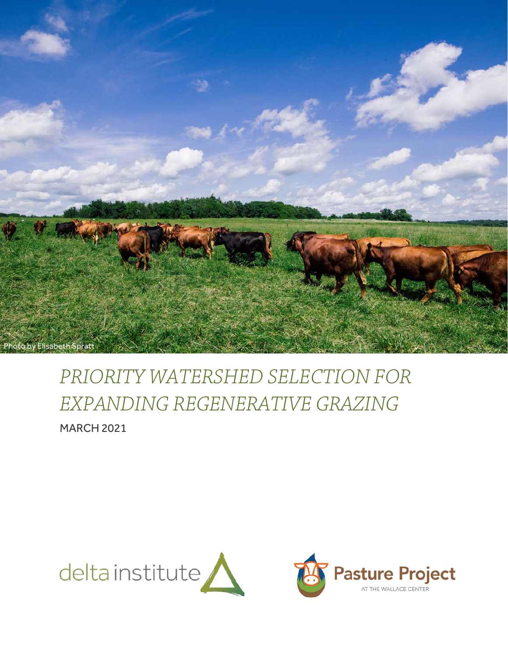

# *PRIORITY WATERSHED SELECTION FOR EXPANDING REGENERATIVE GRAZING* MARCH 2021

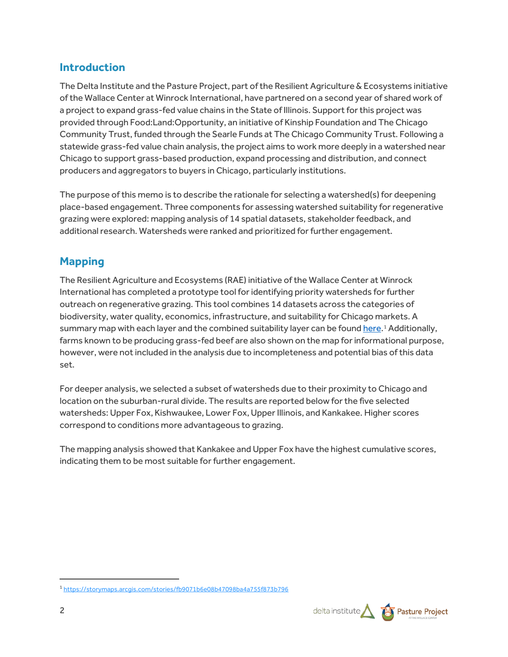## **Introduction**

The Delta Institute and the Pasture Project, part of the Resilient Agriculture & Ecosystems initiative of the Wallace Center at Winrock International, have partnered on a second year of shared work of a project to expand grass-fed value chains in the State of Illinois. Support for this project was provided through Food:Land:Opportunity, an initiative of Kinship Foundation and The Chicago Community Trust, funded through the Searle Funds at The Chicago Community Trust. Following a statewide grass-fed value chain analysis, the project aims to work more deeply in a watershed near Chicago to support grass-based production, expand processing and distribution, and connect producers and aggregators to buyers in Chicago, particularly institutions.

The purpose of this memo is to describe the rationale for selecting a watershed(s) for deepening place-based engagement. Three components for assessing watershed suitability for regenerative grazing were explored: mapping analysis of 14 spatial datasets, stakeholder feedback, and additional research. Watersheds were ranked and prioritized for further engagement.

# **Mapping**

The Resilient Agriculture and Ecosystems (RAE) initiative of the Wallace Center at Winrock International has completed a prototype tool for identifying priority watersheds for further outreach on regenerative grazing. This tool combines 14 datasets across the categories of biodiversity, water quality, economics, infrastructure, and suitability for Chicago markets. A summary map with each layer and the combined suitability layer can be found [here.](https://storymaps.arcgis.com/stories/fb9071b6e08b47098ba4a755f873b796)<sup>[1](#page-1-0)</sup> Additionally, farms known to be producing grass-fed beef are also shown on the map for informational purpose, however, were not included in the analysis due to incompleteness and potential bias of this data set.

For deeper analysis, we selected a subset of watersheds due to their proximity to Chicago and location on the suburban-rural divide. The results are reported below for the five selected watersheds: Upper Fox, Kishwaukee, Lower Fox, Upper Illinois, and Kankakee. Higher scores correspond to conditions more advantageous to grazing.

The mapping analysis showed that Kankakee and Upper Fox have the highest cumulative scores, indicating them to be most suitable for further engagement.

<span id="page-1-0"></span><sup>1</sup> <https://storymaps.arcgis.com/stories/fb9071b6e08b47098ba4a755f873b796>

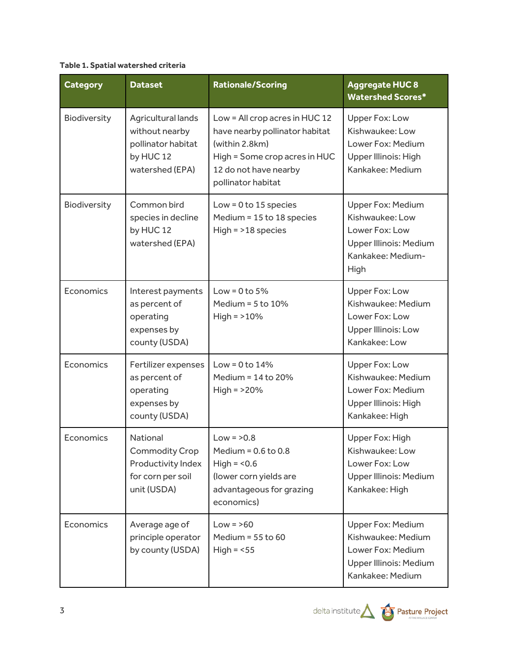### **Table 1. Spatial watershed criteria**

| <b>Category</b> | <b>Dataset</b>                                                                                     | <b>Rationale/Scoring</b>                                                                                                                                           | <b>Aggregate HUC 8</b><br><b>Watershed Scores*</b>                                                                   |
|-----------------|----------------------------------------------------------------------------------------------------|--------------------------------------------------------------------------------------------------------------------------------------------------------------------|----------------------------------------------------------------------------------------------------------------------|
| Biodiversity    | Agricultural lands<br>without nearby<br>pollinator habitat<br>by HUC 12<br>watershed (EPA)         | Low = All crop acres in HUC 12<br>have nearby pollinator habitat<br>(within 2.8km)<br>High = Some crop acres in HUC<br>12 do not have nearby<br>pollinator habitat | Upper Fox: Low<br>Kishwaukee: Low<br>Lower Fox: Medium<br>Upper Illinois: High<br>Kankakee: Medium                   |
| Biodiversity    | Common bird<br>species in decline<br>by HUC 12<br>watershed (EPA)                                  | Low = $0$ to 15 species<br>Medium = 15 to 18 species<br>$High = >18$ species                                                                                       | <b>Upper Fox: Medium</b><br>Kishwaukee: Low<br>Lower Fox: Low<br>Upper Illinois: Medium<br>Kankakee: Medium-<br>High |
| Economics       | Interest payments<br>as percent of<br>operating<br>expenses by<br>county (USDA)                    | Low = $0$ to $5%$<br>Medium = $5$ to $10\%$<br>$High = >10%$                                                                                                       | <b>Upper Fox: Low</b><br>Kishwaukee: Medium<br>Lower Fox: Low<br><b>Upper Illinois: Low</b><br>Kankakee: Low         |
| Economics       | Fertilizer expenses<br>as percent of<br>operating<br>expenses by<br>county (USDA)                  | Low = $0$ to $14%$<br>Medium = 14 to 20%<br>$High = >20%$                                                                                                          | Upper Fox: Low<br>Kishwaukee: Medium<br>Lower Fox: Medium<br>Upper Illinois: High<br>Kankakee: High                  |
| Economics       | <b>National</b><br><b>Commodity Crop</b><br>Productivity Index<br>for corn per soil<br>unit (USDA) | $Low = 20.8$<br>Medium = $0.6$ to $0.8$<br>High = $< 0.6$<br>(lower corn yields are<br>advantageous for grazing<br>economics)                                      | Upper Fox: High<br>Kishwaukee: Low<br>Lower Fox: Low<br>Upper Illinois: Medium<br>Kankakee: High                     |
| Economics       | Average age of<br>principle operator<br>by county (USDA)                                           | $Low = >60$<br>Medium = $55$ to $60$<br>High = $<$ 55                                                                                                              | <b>Upper Fox: Medium</b><br>Kishwaukee: Medium<br>Lower Fox: Medium<br>Upper Illinois: Medium<br>Kankakee: Medium    |



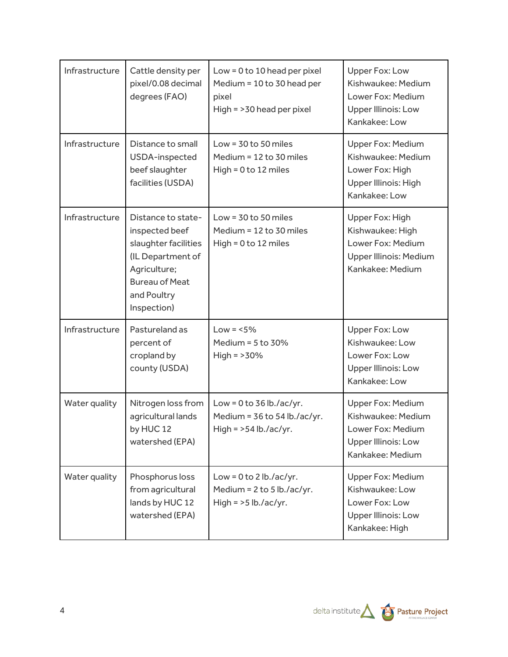| Infrastructure | Cattle density per<br>pixel/0.08 decimal<br>degrees (FAO)                                                                                                | Low = $0$ to 10 head per pixel<br>Medium = 10 to 30 head per<br>pixel<br>High = >30 head per pixel | Upper Fox: Low<br>Kishwaukee: Medium<br>Lower Fox: Medium<br><b>Upper Illinois: Low</b><br>Kankakee: Low       |
|----------------|----------------------------------------------------------------------------------------------------------------------------------------------------------|----------------------------------------------------------------------------------------------------|----------------------------------------------------------------------------------------------------------------|
| Infrastructure | Distance to small<br>USDA-inspected<br>beef slaughter<br>facilities (USDA)                                                                               | Low = $30$ to $50$ miles<br>Medium = 12 to 30 miles<br>$High = 0 to 12 miles$                      | Upper Fox: Medium<br>Kishwaukee: Medium<br>Lower Fox: High<br>Upper Illinois: High<br>Kankakee: Low            |
| Infrastructure | Distance to state-<br>inspected beef<br>slaughter facilities<br>(IL Department of<br>Agriculture;<br><b>Bureau of Meat</b><br>and Poultry<br>Inspection) | Low = $30$ to $50$ miles<br>Medium = 12 to 30 miles<br>$High = 0 to 12 miles$                      | Upper Fox: High<br>Kishwaukee: High<br>Lower Fox: Medium<br>Upper Illinois: Medium<br>Kankakee: Medium         |
| Infrastructure | Pastureland as<br>percent of<br>cropland by<br>county (USDA)                                                                                             | $Low = 5\%$<br>Medium = $5$ to $30\%$<br>$High = >30%$                                             | Upper Fox: Low<br>Kishwaukee: Low<br>Lower Fox: Low<br>Upper Illinois: Low<br>Kankakee: Low                    |
| Water quality  | Nitrogen loss from<br>agricultural lands<br>by HUC 12<br>watershed (EPA)                                                                                 | Low = $0$ to 36 lb./ac/yr.<br>Medium = $36$ to $54$ lb./ac/yr.<br>High = $>54$ lb./ac/yr.          | Upper Fox: Medium<br>Kishwaukee: Medium<br>Lower Fox: Medium<br><b>Upper Illinois: Low</b><br>Kankakee: Medium |
| Water quality  | Phosphorus loss<br>from agricultural<br>lands by HUC 12<br>watershed (EPA)                                                                               | Low = $0$ to $2$ lb./ac/yr.<br>Medium = 2 to 5 lb./ac/yr.<br>High = $>5$ lb./ac/yr.                | Upper Fox: Medium<br>Kishwaukee: Low<br>Lower Fox: Low<br><b>Upper Illinois: Low</b><br>Kankakee: High         |

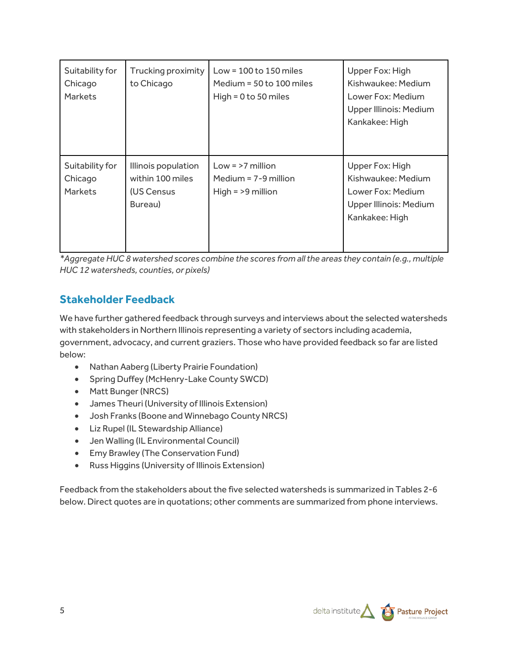| Suitability for<br>Chicago<br><b>Markets</b> | Trucking proximity<br>to Chicago                                 | Low = $100$ to $150$ miles<br>Medium = 50 to 100 miles<br>High = $0$ to 50 miles | Upper Fox: High<br>Kishwaukee: Medium<br>Lower Fox: Medium<br>Upper Illinois: Medium<br>Kankakee: High |
|----------------------------------------------|------------------------------------------------------------------|----------------------------------------------------------------------------------|--------------------------------------------------------------------------------------------------------|
| Suitability for<br>Chicago<br><b>Markets</b> | Illinois population<br>within 100 miles<br>(US Census<br>Bureau) | $Low = > 7$ million<br>Medium = $7-9$ million<br>High $=$ >9 million             | Upper Fox: High<br>Kishwaukee: Medium<br>Lower Fox: Medium<br>Upper Illinois: Medium<br>Kankakee: High |

*\*Aggregate HUC 8 watershed scores combine the scores from all the areas they contain (e.g., multiple HUC 12 watersheds, counties, or pixels)*

## **Stakeholder Feedback**

We have further gathered feedback through surveys and interviews about the selected watersheds with stakeholders in Northern Illinois representing a variety of sectors including academia, government, advocacy, and current graziers. Those who have provided feedback so far are listed below:

- Nathan Aaberg (Liberty Prairie Foundation)
- Spring Duffey (McHenry-Lake County SWCD)
- Matt Bunger (NRCS)
- James Theuri (University of Illinois Extension)
- Josh Franks (Boone and Winnebago County NRCS)
- Liz Rupel (IL Stewardship Alliance)
- Jen Walling (IL Environmental Council)
- Emy Brawley (The Conservation Fund)
- Russ Higgins (University of Illinois Extension)

Feedback from the stakeholders about the five selected watersheds is summarized in Tables 2-6 below. Direct quotes are in quotations; other comments are summarized from phone interviews.

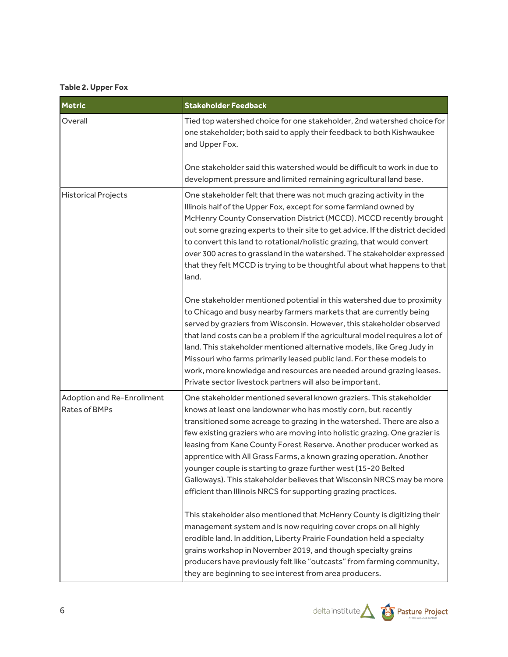#### **Table 2. Upper Fox**

| <b>Metric</b>                                      | <b>Stakeholder Feedback</b>                                                                                                                                                                                                                                                                                                                                                                                                                                                                                                                                                                                                                                                                                                         |
|----------------------------------------------------|-------------------------------------------------------------------------------------------------------------------------------------------------------------------------------------------------------------------------------------------------------------------------------------------------------------------------------------------------------------------------------------------------------------------------------------------------------------------------------------------------------------------------------------------------------------------------------------------------------------------------------------------------------------------------------------------------------------------------------------|
| Overall                                            | Tied top watershed choice for one stakeholder, 2nd watershed choice for<br>one stakeholder; both said to apply their feedback to both Kishwaukee<br>and Upper Fox.                                                                                                                                                                                                                                                                                                                                                                                                                                                                                                                                                                  |
|                                                    | One stakeholder said this watershed would be difficult to work in due to<br>development pressure and limited remaining agricultural land base.                                                                                                                                                                                                                                                                                                                                                                                                                                                                                                                                                                                      |
| <b>Historical Projects</b>                         | One stakeholder felt that there was not much grazing activity in the<br>Illinois half of the Upper Fox, except for some farmland owned by<br>McHenry County Conservation District (MCCD). MCCD recently brought<br>out some grazing experts to their site to get advice. If the district decided<br>to convert this land to rotational/holistic grazing, that would convert<br>over 300 acres to grassland in the watershed. The stakeholder expressed<br>that they felt MCCD is trying to be thoughtful about what happens to that<br>land.                                                                                                                                                                                        |
|                                                    | One stakeholder mentioned potential in this watershed due to proximity<br>to Chicago and busy nearby farmers markets that are currently being<br>served by graziers from Wisconsin. However, this stakeholder observed<br>that land costs can be a problem if the agricultural model requires a lot of<br>land. This stakeholder mentioned alternative models, like Greg Judy in<br>Missouri who farms primarily leased public land. For these models to<br>work, more knowledge and resources are needed around grazing leases.<br>Private sector livestock partners will also be important.                                                                                                                                       |
| Adoption and Re-Enrollment<br><b>Rates of BMPs</b> | One stakeholder mentioned several known graziers. This stakeholder<br>knows at least one landowner who has mostly corn, but recently<br>transitioned some acreage to grazing in the watershed. There are also a<br>few existing graziers who are moving into holistic grazing. One grazier is<br>leasing from Kane County Forest Reserve. Another producer worked as<br>apprentice with All Grass Farms, a known grazing operation. Another<br>younger couple is starting to graze further west (15-20 Belted<br>Galloways). This stakeholder believes that Wisconsin NRCS may be more<br>efficient than Illinois NRCS for supporting grazing practices.<br>This stakeholder also mentioned that McHenry County is digitizing their |
|                                                    | management system and is now requiring cover crops on all highly<br>erodible land. In addition, Liberty Prairie Foundation held a specialty<br>grains workshop in November 2019, and though specialty grains<br>producers have previously felt like "outcasts" from farming community,<br>they are beginning to see interest from area producers.                                                                                                                                                                                                                                                                                                                                                                                   |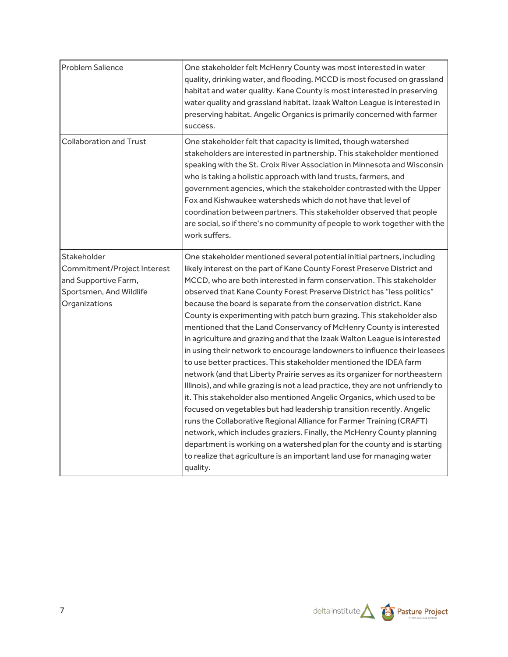| <b>Problem Salience</b>                                                                                        | One stakeholder felt McHenry County was most interested in water<br>quality, drinking water, and flooding. MCCD is most focused on grassland<br>habitat and water quality. Kane County is most interested in preserving<br>water quality and grassland habitat. Izaak Walton League is interested in<br>preserving habitat. Angelic Organics is primarily concerned with farmer<br>success.                                                                                                                                                                                                                                                                                                                                                                                                                                                                                                                                                                                                                                                                                                                                                                                                                                                                                                                                                                                                         |
|----------------------------------------------------------------------------------------------------------------|-----------------------------------------------------------------------------------------------------------------------------------------------------------------------------------------------------------------------------------------------------------------------------------------------------------------------------------------------------------------------------------------------------------------------------------------------------------------------------------------------------------------------------------------------------------------------------------------------------------------------------------------------------------------------------------------------------------------------------------------------------------------------------------------------------------------------------------------------------------------------------------------------------------------------------------------------------------------------------------------------------------------------------------------------------------------------------------------------------------------------------------------------------------------------------------------------------------------------------------------------------------------------------------------------------------------------------------------------------------------------------------------------------|
| <b>Collaboration and Trust</b>                                                                                 | One stakeholder felt that capacity is limited, though watershed<br>stakeholders are interested in partnership. This stakeholder mentioned<br>speaking with the St. Croix River Association in Minnesota and Wisconsin<br>who is taking a holistic approach with land trusts, farmers, and<br>government agencies, which the stakeholder contrasted with the Upper<br>Fox and Kishwaukee watersheds which do not have that level of<br>coordination between partners. This stakeholder observed that people<br>are social, so if there's no community of people to work together with the<br>work suffers.                                                                                                                                                                                                                                                                                                                                                                                                                                                                                                                                                                                                                                                                                                                                                                                           |
| Stakeholder<br>Commitment/Project Interest<br>and Supportive Farm,<br>Sportsmen, And Wildlife<br>Organizations | One stakeholder mentioned several potential initial partners, including<br>likely interest on the part of Kane County Forest Preserve District and<br>MCCD, who are both interested in farm conservation. This stakeholder<br>observed that Kane County Forest Preserve District has "less politics"<br>because the board is separate from the conservation district. Kane<br>County is experimenting with patch burn grazing. This stakeholder also<br>mentioned that the Land Conservancy of McHenry County is interested<br>in agriculture and grazing and that the Izaak Walton League is interested<br>in using their network to encourage landowners to influence their leasees<br>to use better practices. This stakeholder mentioned the IDEA farm<br>network (and that Liberty Prairie serves as its organizer for northeastern<br>Illinois), and while grazing is not a lead practice, they are not unfriendly to<br>it. This stakeholder also mentioned Angelic Organics, which used to be<br>focused on vegetables but had leadership transition recently. Angelic<br>runs the Collaborative Regional Alliance for Farmer Training (CRAFT)<br>network, which includes graziers. Finally, the McHenry County planning<br>department is working on a watershed plan for the county and is starting<br>to realize that agriculture is an important land use for managing water<br>quality. |

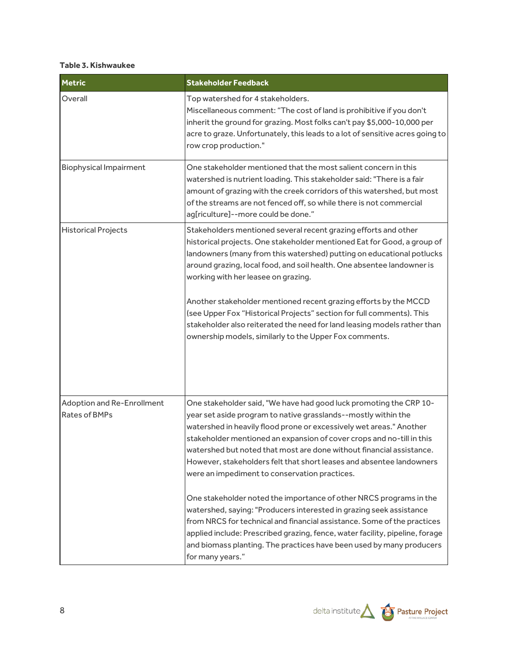#### **Table 3. Kishwaukee**

| <b>Metric</b>                               | <b>Stakeholder Feedback</b>                                                                                                                                                                                                                                                                                                                                                                                                                                                                                                                                                                                             |
|---------------------------------------------|-------------------------------------------------------------------------------------------------------------------------------------------------------------------------------------------------------------------------------------------------------------------------------------------------------------------------------------------------------------------------------------------------------------------------------------------------------------------------------------------------------------------------------------------------------------------------------------------------------------------------|
| Overall                                     | Top watershed for 4 stakeholders.<br>Miscellaneous comment: "The cost of land is prohibitive if you don't<br>inherit the ground for grazing. Most folks can't pay \$5,000-10,000 per<br>acre to graze. Unfortunately, this leads to a lot of sensitive acres going to<br>row crop production."                                                                                                                                                                                                                                                                                                                          |
| <b>Biophysical Impairment</b>               | One stakeholder mentioned that the most salient concern in this<br>watershed is nutrient loading. This stakeholder said: "There is a fair<br>amount of grazing with the creek corridors of this watershed, but most<br>of the streams are not fenced off, so while there is not commercial<br>ag[riculture]--more could be done."                                                                                                                                                                                                                                                                                       |
| <b>Historical Projects</b>                  | Stakeholders mentioned several recent grazing efforts and other<br>historical projects. One stakeholder mentioned Eat for Good, a group of<br>landowners (many from this watershed) putting on educational potlucks<br>around grazing, local food, and soil health. One absentee landowner is<br>working with her leasee on grazing.<br>Another stakeholder mentioned recent grazing efforts by the MCCD<br>(see Upper Fox "Historical Projects" section for full comments). This<br>stakeholder also reiterated the need for land leasing models rather than<br>ownership models, similarly to the Upper Fox comments. |
| Adoption and Re-Enrollment<br>Rates of BMPs | One stakeholder said, "We have had good luck promoting the CRP 10-<br>year set aside program to native grasslands--mostly within the<br>watershed in heavily flood prone or excessively wet areas." Another<br>stakeholder mentioned an expansion of cover crops and no-till in this<br>watershed but noted that most are done without financial assistance.<br>However, stakeholders felt that short leases and absentee landowners<br>were an impediment to conservation practices.                                                                                                                                   |
|                                             | One stakeholder noted the importance of other NRCS programs in the<br>watershed, saying: "Producers interested in grazing seek assistance<br>from NRCS for technical and financial assistance. Some of the practices<br>applied include: Prescribed grazing, fence, water facility, pipeline, forage<br>and biomass planting. The practices have been used by many producers<br>for many years."                                                                                                                                                                                                                        |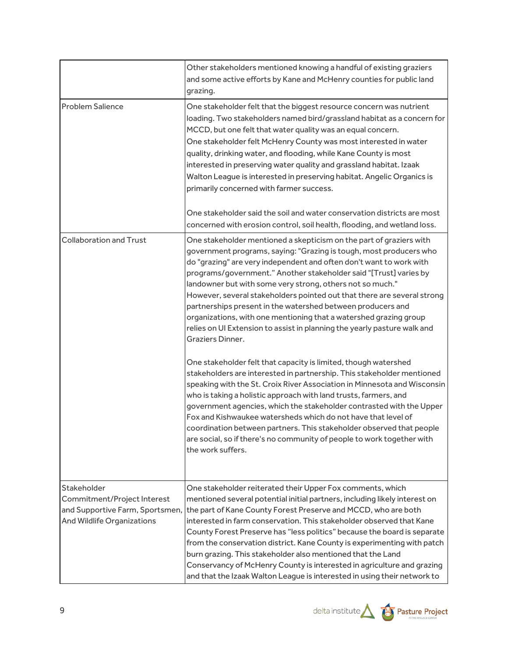|                                                                                                                    | Other stakeholders mentioned knowing a handful of existing graziers<br>and some active efforts by Kane and McHenry counties for public land<br>grazing.                                                                                                                                                                                                                                                                                                                                                                                                                                                                                                                                                                                                                                                                                                                                                                                                                                                                                                                                                                                                                                                                                                                        |
|--------------------------------------------------------------------------------------------------------------------|--------------------------------------------------------------------------------------------------------------------------------------------------------------------------------------------------------------------------------------------------------------------------------------------------------------------------------------------------------------------------------------------------------------------------------------------------------------------------------------------------------------------------------------------------------------------------------------------------------------------------------------------------------------------------------------------------------------------------------------------------------------------------------------------------------------------------------------------------------------------------------------------------------------------------------------------------------------------------------------------------------------------------------------------------------------------------------------------------------------------------------------------------------------------------------------------------------------------------------------------------------------------------------|
| <b>Problem Salience</b>                                                                                            | One stakeholder felt that the biggest resource concern was nutrient<br>loading. Two stakeholders named bird/grassland habitat as a concern for<br>MCCD, but one felt that water quality was an equal concern.<br>One stakeholder felt McHenry County was most interested in water<br>quality, drinking water, and flooding, while Kane County is most<br>interested in preserving water quality and grassland habitat. Izaak<br>Walton League is interested in preserving habitat. Angelic Organics is<br>primarily concerned with farmer success.                                                                                                                                                                                                                                                                                                                                                                                                                                                                                                                                                                                                                                                                                                                             |
|                                                                                                                    | One stakeholder said the soil and water conservation districts are most<br>concerned with erosion control, soil health, flooding, and wetland loss.                                                                                                                                                                                                                                                                                                                                                                                                                                                                                                                                                                                                                                                                                                                                                                                                                                                                                                                                                                                                                                                                                                                            |
| <b>Collaboration and Trust</b>                                                                                     | One stakeholder mentioned a skepticism on the part of graziers with<br>government programs, saying: "Grazing is tough, most producers who<br>do "grazing" are very independent and often don't want to work with<br>programs/government." Another stakeholder said "[Trust] varies by<br>landowner but with some very strong, others not so much."<br>However, several stakeholders pointed out that there are several strong<br>partnerships present in the watershed between producers and<br>organizations, with one mentioning that a watershed grazing group<br>relies on UI Extension to assist in planning the yearly pasture walk and<br>Graziers Dinner.<br>One stakeholder felt that capacity is limited, though watershed<br>stakeholders are interested in partnership. This stakeholder mentioned<br>speaking with the St. Croix River Association in Minnesota and Wisconsin<br>who is taking a holistic approach with land trusts, farmers, and<br>government agencies, which the stakeholder contrasted with the Upper<br>Fox and Kishwaukee watersheds which do not have that level of<br>coordination between partners. This stakeholder observed that people<br>are social, so if there's no community of people to work together with<br>the work suffers. |
| Stakeholder<br>Commitment/Project Interest<br>and Supportive Farm, Sportsmen,<br><b>And Wildlife Organizations</b> | One stakeholder reiterated their Upper Fox comments, which<br>mentioned several potential initial partners, including likely interest on<br>the part of Kane County Forest Preserve and MCCD, who are both<br>interested in farm conservation. This stakeholder observed that Kane<br>County Forest Preserve has "less politics" because the board is separate<br>from the conservation district. Kane County is experimenting with patch<br>burn grazing. This stakeholder also mentioned that the Land<br>Conservancy of McHenry County is interested in agriculture and grazing<br>and that the Izaak Walton League is interested in using their network to                                                                                                                                                                                                                                                                                                                                                                                                                                                                                                                                                                                                                 |

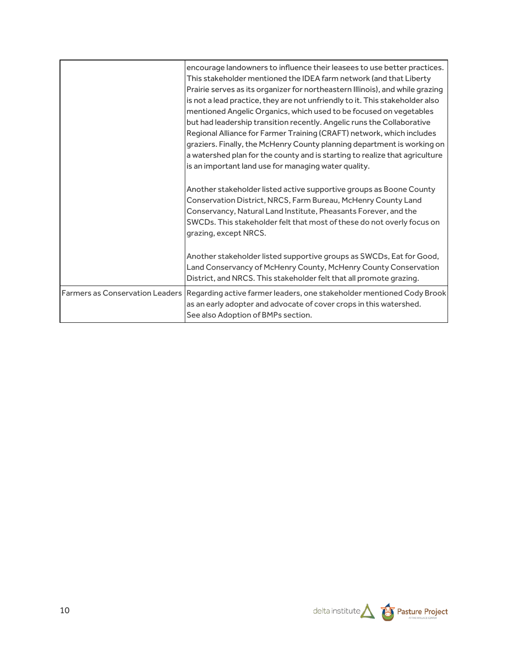|                                        | encourage landowners to influence their leasees to use better practices.<br>This stakeholder mentioned the IDEA farm network (and that Liberty<br>Prairie serves as its organizer for northeastern Illinois), and while grazing<br>is not a lead practice, they are not unfriendly to it. This stakeholder also<br>mentioned Angelic Organics, which used to be focused on vegetables<br>but had leadership transition recently. Angelic runs the Collaborative<br>Regional Alliance for Farmer Training (CRAFT) network, which includes<br>graziers. Finally, the McHenry County planning department is working on<br>a watershed plan for the county and is starting to realize that agriculture |
|----------------------------------------|----------------------------------------------------------------------------------------------------------------------------------------------------------------------------------------------------------------------------------------------------------------------------------------------------------------------------------------------------------------------------------------------------------------------------------------------------------------------------------------------------------------------------------------------------------------------------------------------------------------------------------------------------------------------------------------------------|
|                                        | is an important land use for managing water quality.<br>Another stakeholder listed active supportive groups as Boone County<br>Conservation District, NRCS, Farm Bureau, McHenry County Land<br>Conservancy, Natural Land Institute, Pheasants Forever, and the<br>SWCDs. This stakeholder felt that most of these do not overly focus on<br>grazing, except NRCS.                                                                                                                                                                                                                                                                                                                                 |
|                                        | Another stakeholder listed supportive groups as SWCDs, Eat for Good,<br>Land Conservancy of McHenry County, McHenry County Conservation<br>District, and NRCS. This stakeholder felt that all promote grazing.                                                                                                                                                                                                                                                                                                                                                                                                                                                                                     |
| <b>Farmers as Conservation Leaders</b> | Regarding active farmer leaders, one stakeholder mentioned Cody Brook<br>as an early adopter and advocate of cover crops in this watershed.<br>See also Adoption of BMPs section.                                                                                                                                                                                                                                                                                                                                                                                                                                                                                                                  |

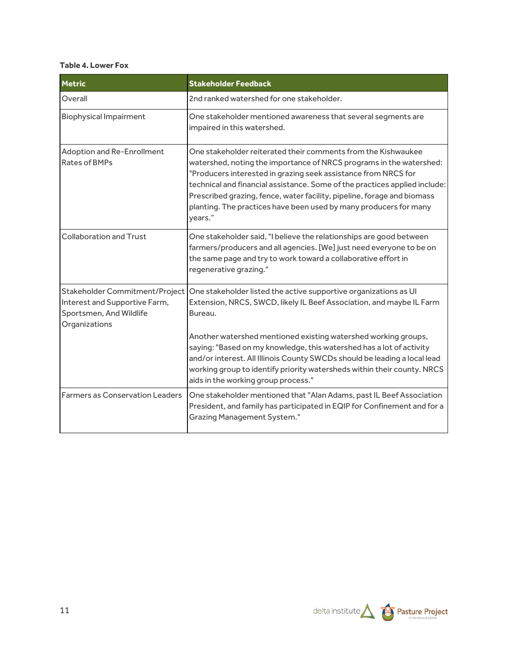#### **Table 4. Lower Fox**

| <b>Metric</b>                                                                                               | <b>Stakeholder Feedback</b>                                                                                                                                                                                                                                                                                                                                                                                                                                                                  |
|-------------------------------------------------------------------------------------------------------------|----------------------------------------------------------------------------------------------------------------------------------------------------------------------------------------------------------------------------------------------------------------------------------------------------------------------------------------------------------------------------------------------------------------------------------------------------------------------------------------------|
| Overall                                                                                                     | 2nd ranked watershed for one stakeholder.                                                                                                                                                                                                                                                                                                                                                                                                                                                    |
| <b>Biophysical Impairment</b>                                                                               | One stakeholder mentioned awareness that several segments are<br>impaired in this watershed.                                                                                                                                                                                                                                                                                                                                                                                                 |
| Adoption and Re-Enrollment<br>Rates of BMPs                                                                 | One stakeholder reiterated their comments from the Kishwaukee<br>watershed, noting the importance of NRCS programs in the watershed:<br>"Producers interested in grazing seek assistance from NRCS for<br>technical and financial assistance. Some of the practices applied include:<br>Prescribed grazing, fence, water facility, pipeline, forage and biomass<br>planting. The practices have been used by many producers for many<br>years."                                              |
| <b>Collaboration and Trust</b>                                                                              | One stakeholder said, "I believe the relationships are good between<br>farmers/producers and all agencies. [We] just need everyone to be on<br>the same page and try to work toward a collaborative effort in<br>regenerative grazing."                                                                                                                                                                                                                                                      |
| Stakeholder Commitment/Project<br>Interest and Supportive Farm,<br>Sportsmen, And Wildlife<br>Organizations | One stakeholder listed the active supportive organizations as UI<br>Extension, NRCS, SWCD, likely IL Beef Association, and maybe IL Farm<br>Bureau.<br>Another watershed mentioned existing watershed working groups,<br>saying: "Based on my knowledge, this watershed has a lot of activity<br>and/or interest. All Illinois County SWCDs should be leading a local lead<br>working group to identify priority watersheds within their county. NRCS<br>aids in the working group process." |
| <b>Farmers as Conservation Leaders</b>                                                                      | One stakeholder mentioned that "Alan Adams, past IL Beef Association<br>President, and family has participated in EQIP for Confinement and for a<br><b>Grazing Management System."</b>                                                                                                                                                                                                                                                                                                       |

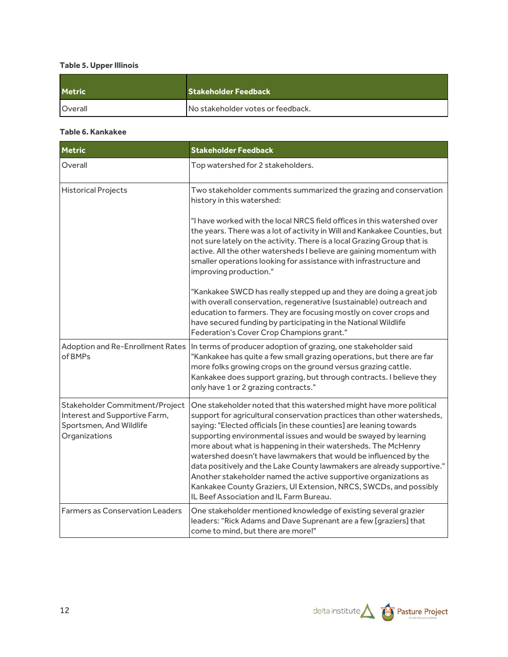## **Table 5. Upper Illinois**

| <b>Metric</b>  | <b>Stakeholder Feedback</b>       |
|----------------|-----------------------------------|
| <b>Overall</b> | No stakeholder votes or feedback. |

#### **Table 6. Kankakee**

| <b>Metric</b>                                                                                               | <b>Stakeholder Feedback</b>                                                                                                                                                                                                                                                                                                                                                                                                                                                                                                                                                                                                                                                               |  |
|-------------------------------------------------------------------------------------------------------------|-------------------------------------------------------------------------------------------------------------------------------------------------------------------------------------------------------------------------------------------------------------------------------------------------------------------------------------------------------------------------------------------------------------------------------------------------------------------------------------------------------------------------------------------------------------------------------------------------------------------------------------------------------------------------------------------|--|
| Overall                                                                                                     | Top watershed for 2 stakeholders.                                                                                                                                                                                                                                                                                                                                                                                                                                                                                                                                                                                                                                                         |  |
| <b>Historical Projects</b>                                                                                  | Two stakeholder comments summarized the grazing and conservation<br>history in this watershed:                                                                                                                                                                                                                                                                                                                                                                                                                                                                                                                                                                                            |  |
|                                                                                                             | "I have worked with the local NRCS field offices in this watershed over<br>the years. There was a lot of activity in Will and Kankakee Counties, but<br>not sure lately on the activity. There is a local Grazing Group that is<br>active. All the other watersheds I believe are gaining momentum with<br>smaller operations looking for assistance with infrastructure and<br>improving production."                                                                                                                                                                                                                                                                                    |  |
|                                                                                                             | "Kankakee SWCD has really stepped up and they are doing a great job<br>with overall conservation, regenerative (sustainable) outreach and<br>education to farmers. They are focusing mostly on cover crops and<br>have secured funding by participating in the National Wildlife<br>Federation's Cover Crop Champions grant."                                                                                                                                                                                                                                                                                                                                                             |  |
| Adoption and Re-Enrollment Rates<br>of BMPs                                                                 | In terms of producer adoption of grazing, one stakeholder said<br>"Kankakee has quite a few small grazing operations, but there are far<br>more folks growing crops on the ground versus grazing cattle.<br>Kankakee does support grazing, but through contracts. I believe they<br>only have 1 or 2 grazing contracts."                                                                                                                                                                                                                                                                                                                                                                  |  |
| Stakeholder Commitment/Project<br>Interest and Supportive Farm,<br>Sportsmen, And Wildlife<br>Organizations | One stakeholder noted that this watershed might have more political<br>support for agricultural conservation practices than other watersheds,<br>saying: "Elected officials [in these counties] are leaning towards<br>supporting environmental issues and would be swayed by learning<br>more about what is happening in their watersheds. The McHenry<br>watershed doesn't have lawmakers that would be influenced by the<br>data positively and the Lake County lawmakers are already supportive."<br>Another stakeholder named the active supportive organizations as<br>Kankakee County Graziers, UI Extension, NRCS, SWCDs, and possibly<br>IL Beef Association and IL Farm Bureau. |  |
| <b>Farmers as Conservation Leaders</b>                                                                      | One stakeholder mentioned knowledge of existing several grazier<br>leaders: "Rick Adams and Dave Suprenant are a few [graziers] that<br>come to mind, but there are more!"                                                                                                                                                                                                                                                                                                                                                                                                                                                                                                                |  |

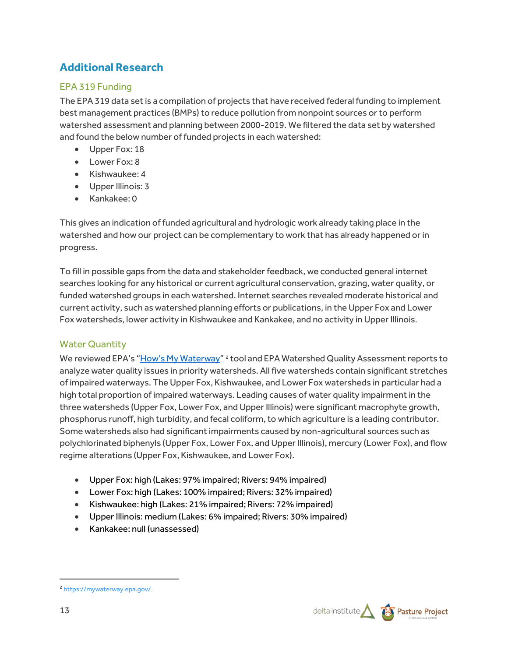# **Additional Research**

## EPA 319 Funding

The EPA 319 data set is a compilation of projects that have received federal funding to implement best management practices (BMPs) to reduce pollution from nonpoint sources or to perform watershed assessment and planning between 2000-2019. We filtered the data set by watershed and found the below number of funded projects in each watershed:

- Upper Fox: 18
- Lower Fox: 8
- Kishwaukee: 4
- Upper Illinois: 3
- Kankakee: 0

This gives an indication of funded agricultural and hydrologic work already taking place in the watershed and how our project can be complementary to work that has already happened or in progress.

To fill in possible gaps from the data and stakeholder feedback, we conducted general internet searches looking for any historical or current agricultural conservation, grazing, water quality, or funded watershed groups in each watershed. Internet searches revealed moderate historical and current activity, such as watershed planning efforts or publications, in the Upper Fox and Lower Fox watersheds, lower activity in Kishwaukee and Kankakee, and no activity in Upper Illinois.

## Water Quantity

We reviewed EPA's ["How's My Waterway"](https://mywaterway.epa.gov/) <sup>[2](#page-12-0)</sup> tool and EPA Watershed Quality Assessment reports to analyze water quality issues in priority watersheds. All five watersheds contain significant stretches of impaired waterways. The Upper Fox, Kishwaukee, and Lower Fox watersheds in particular had a high total proportion of impaired waterways. Leading causes of water quality impairment in the three watersheds (Upper Fox, Lower Fox, and Upper Illinois) were significant macrophyte growth, phosphorus runoff, high turbidity, and fecal coliform, to which agriculture is a leading contributor. Some watersheds also had significant impairments caused by non-agricultural sources such as polychlorinated biphenyls (Upper Fox, Lower Fox, and Upper Illinois), mercury (Lower Fox), and flow regime alterations (Upper Fox, Kishwaukee, and Lower Fox).

- Upper Fox: high (Lakes: 97% impaired; Rivers: 94% impaired)
- Lower Fox: high (Lakes: 100% impaired; Rivers: 32% impaired)
- Kishwaukee: high (Lakes: 21% impaired; Rivers: 72% impaired)
- Upper Illinois: medium (Lakes: 6% impaired; Rivers: 30% impaired)
- Kankakee: null (unassessed)

<span id="page-12-0"></span>

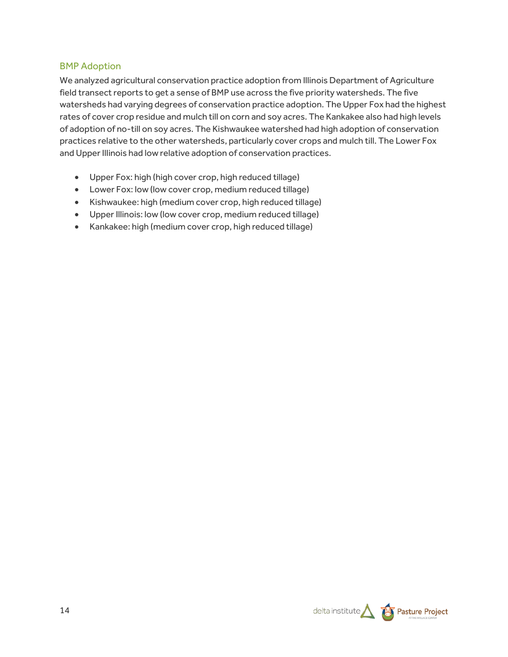#### BMP Adoption

We analyzed agricultural conservation practice adoption from Illinois Department of Agriculture field transect reports to get a sense of BMP use across the five priority watersheds. The five watersheds had varying degrees of conservation practice adoption. The Upper Fox had the highest rates of cover crop residue and mulch till on corn and soy acres. The Kankakee also had high levels of adoption of no-till on soy acres. The Kishwaukee watershed had high adoption of conservation practices relative to the other watersheds, particularly cover crops and mulch till. The Lower Fox and Upper Illinois had low relative adoption of conservation practices.

- Upper Fox: high (high cover crop, high reduced tillage)
- Lower Fox: low (low cover crop, medium reduced tillage)
- Kishwaukee: high (medium cover crop, high reduced tillage)
- Upper Illinois: low (low cover crop, medium reduced tillage)
- Kankakee: high (medium cover crop, high reduced tillage)

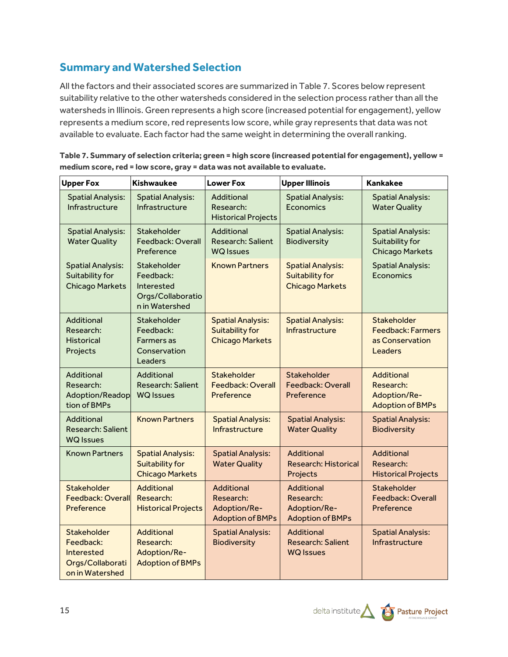# **Summary and Watershed Selection**

All the factors and their associated scores are summarized in Table 7. Scores below represent suitability relative to the other watersheds considered in the selection process rather than all the watersheds in Illinois. Green represents a high score (increased potential for engagement), yellow represents a medium score, red represents low score, while gray represents that data was not available to evaluate. Each factor had the same weight in determining the overall ranking.

| <b>Upper Fox</b>                                                              | <b>Kishwaukee</b>                                                             | <b>Lower Fox</b>                                                             | <b>Upper Illinois</b>                                                        | <b>Kankakee</b>                                                       |
|-------------------------------------------------------------------------------|-------------------------------------------------------------------------------|------------------------------------------------------------------------------|------------------------------------------------------------------------------|-----------------------------------------------------------------------|
| <b>Spatial Analysis:</b><br>Infrastructure                                    | <b>Spatial Analysis:</b><br>Infrastructure                                    | Additional<br>Research:<br><b>Historical Projects</b>                        | <b>Spatial Analysis:</b><br>Economics                                        | <b>Spatial Analysis:</b><br><b>Water Quality</b>                      |
| <b>Spatial Analysis:</b><br><b>Water Quality</b>                              | Stakeholder<br>Feedback: Overall<br>Preference                                | Additional<br><b>Research: Salient</b><br><b>WQ</b> Issues                   | <b>Spatial Analysis:</b><br>Biodiversity                                     | <b>Spatial Analysis:</b><br>Suitability for<br><b>Chicago Markets</b> |
| <b>Spatial Analysis:</b><br>Suitability for<br><b>Chicago Markets</b>         | Stakeholder<br>Feedback:<br>Interested<br>Orgs/Collaboratio<br>n in Watershed | <b>Known Partners</b>                                                        | <b>Spatial Analysis:</b><br><b>Suitability for</b><br><b>Chicago Markets</b> | <b>Spatial Analysis:</b><br>Economics                                 |
| Additional<br>Research:<br><b>Historical</b><br>Projects                      | Stakeholder<br>Feedback:<br><b>Farmers</b> as<br>Conservation<br>Leaders      | <b>Spatial Analysis:</b><br><b>Suitability for</b><br><b>Chicago Markets</b> | <b>Spatial Analysis:</b><br>Infrastructure                                   | Stakeholder<br><b>Feedback: Farmers</b><br>as Conservation<br>Leaders |
| Additional<br>Research:<br>Adoption/Readop<br>tion of BMPs                    | Additional<br><b>Research: Salient</b><br><b>WQ</b> Issues                    | Stakeholder<br><b>Feedback: Overall</b><br>Preference                        | Stakeholder<br><b>Feedback: Overall</b><br>Preference                        | Additional<br>Research:<br>Adoption/Re-<br><b>Adoption of BMPs</b>    |
| <b>Additional</b><br><b>Research: Salient</b><br><b>WQ Issues</b>             | <b>Known Partners</b>                                                         | <b>Spatial Analysis:</b><br>Infrastructure                                   | <b>Spatial Analysis:</b><br><b>Water Quality</b>                             | <b>Spatial Analysis:</b><br><b>Biodiversity</b>                       |
| <b>Known Partners</b>                                                         | <b>Spatial Analysis:</b><br><b>Suitability for</b><br><b>Chicago Markets</b>  | <b>Spatial Analysis:</b><br><b>Water Quality</b>                             | <b>Additional</b><br><b>Research: Historical</b><br>Projects                 | Additional<br>Research:<br><b>Historical Projects</b>                 |
| Stakeholder<br><b>Feedback: Overall</b><br>Preference                         | <b>Additional</b><br>Research:<br><b>Historical Projects</b>                  | <b>Additional</b><br>Research:<br>Adoption/Re-<br><b>Adoption of BMPs</b>    | <b>Additional</b><br>Research:<br>Adoption/Re-<br><b>Adoption of BMPs</b>    | Stakeholder<br>Feedback: Overall<br>Preference                        |
| Stakeholder<br>Feedback:<br>Interested<br>Orgs/Collaborati<br>on in Watershed | <b>Additional</b><br>Research:<br>Adoption/Re-<br><b>Adoption of BMPs</b>     | <b>Spatial Analysis:</b><br><b>Biodiversity</b>                              | <b>Additional</b><br><b>Research: Salient</b><br><b>WQ Issues</b>            | <b>Spatial Analysis:</b><br>Infrastructure                            |

**Table 7. Summary of selection criteria; green = high score (increased potential for engagement), yellow = medium score, red = low score, gray = data was not available to evaluate.**